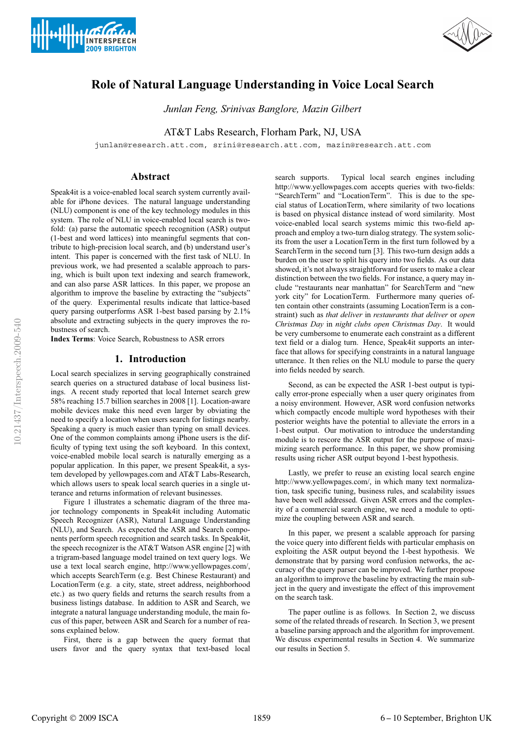



# **Role of Natural Language Understanding in Voice Local Search**

*Junlan Feng, Srinivas Banglore, Mazin Gilbert*

AT&T Labs Research, Florham Park, NJ, USA

junlan@research.att.com, srini@research.att.com, mazin@research.att.com

# **Abstract**

Speak4it is a voice-enabled local search system currently available for iPhone devices. The natural language understanding (NLU) component is one of the key technology modules in this system. The role of NLU in voice-enabled local search is twofold: (a) parse the automatic speech recognition (ASR) output (1-best and word lattices) into meaningful segments that contribute to high-precision local search, and (b) understand user's intent. This paper is concerned with the first task of NLU. In previous work, we had presented a scalable approach to parsing, which is built upon text indexing and search framework, and can also parse ASR lattices. In this paper, we propose an algorithm to improve the baseline by extracting the "subjects" of the query. Experimental results indicate that lattice-based query parsing outperforms ASR 1-best based parsing by 2.1% absolute and extracting subjects in the query improves the robustness of search.

**Index Terms**: Voice Search, Robustness to ASR errors

### **1. Introduction**

Local search specializes in serving geographically constrained search queries on a structured database of local business listings. A recent study reported that local Internet search grew 58% reaching 15.7 billion searches in 2008 [1]. Location-aware mobile devices make this need even larger by obviating the need to specify a location when users search for listings nearby. Speaking a query is much easier than typing on small devices. One of the common complaints among iPhone users is the difficulty of typing text using the soft keyboard. In this context, voice-enabled mobile local search is naturally emerging as a popular application. In this paper, we present Speak4it, a system developed by yellowpages.com and AT&T Labs-Research, which allows users to speak local search queries in a single utterance and returns information of relevant businesses.

Figure 1 illustrates a schematic diagram of the three major technology components in Speak4it including Automatic Speech Recognizer (ASR), Natural Language Understanding (NLU), and Search. As expected the ASR and Search components perform speech recognition and search tasks. In Speak4it, the speech recognizer is the AT&T Watson ASR engine [2] with a trigram-based language model trained on text query logs. We use a text local search engine, http://www.yellowpages.com/, which accepts SearchTerm (e.g. Best Chinese Restaurant) and LocationTerm (e.g. a city, state, street address, neighborhood etc.) as two query fields and returns the search results from a business listings database. In addition to ASR and Search, we integrate a natural language understanding module, the main focus of this paper, between ASR and Search for a number of reasons explained below.

First, there is a gap between the query format that users favor and the query syntax that text-based local

search supports. Typical local search engines including http://www.yellowpages.com accepts queries with two-fields: "SearchTerm" and "LocationTerm". This is due to the special status of LocationTerm, where similarity of two locations is based on physical distance instead of word similarity. Most voice-enabled local search systems mimic this two-field approach and employ a two-turn dialog strategy. The system solicits from the user a LocationTerm in the first turn followed by a SearchTerm in the second turn [3]. This two-turn design adds a burden on the user to split his query into two fields. As our data showed, it's not always straightforward for users to make a clear distinction between the two fields. For instance, a query may include "restaurants near manhattan" for SearchTerm and "new york city" for LocationTerm. Furthermore many queries often contain other constraints (assuming LocationTerm is a constraint) such as *that deliver* in *restaurants that deliver* or *open Christmas Day* in *night clubs open Christmas Day*. It would be very cumbersome to enumerate each constraint as a different text field or a dialog turn. Hence, Speak4it supports an interface that allows for specifying constraints in a natural language utterance. It then relies on the NLU module to parse the query into fields needed by search.

Second, as can be expected the ASR 1-best output is typically error-prone especially when a user query originates from a noisy environment. However, ASR word confusion networks which compactly encode multiple word hypotheses with their posterior weights have the potential to alleviate the errors in a 1-best output. Our motivation to introduce the understanding module is to rescore the ASR output for the purpose of maximizing search performance. In this paper, we show promising results using richer ASR output beyond 1-best hypothesis.

Lastly, we prefer to reuse an existing local search engine http://www.yellowpages.com/, in which many text normalization, task specific tuning, business rules, and scalability issues have been well addressed. Given ASR errors and the complexity of a commercial search engine, we need a module to optimize the coupling between ASR and search.

In this paper, we present a scalable approach for parsing the voice query into different fields with particular emphasis on exploiting the ASR output beyond the 1-best hypothesis. We demonstrate that by parsing word confusion networks, the accuracy of the query parser can be improved. We further propose an algorithm to improve the baseline by extracting the main subject in the query and investigate the effect of this improvement on the search task.

The paper outline is as follows. In Section 2, we discuss some of the related threads of research. In Section 3, we present a baseline parsing approach and the algorithm for improvement. We discuss experimental results in Section 4. We summarize our results in Section 5.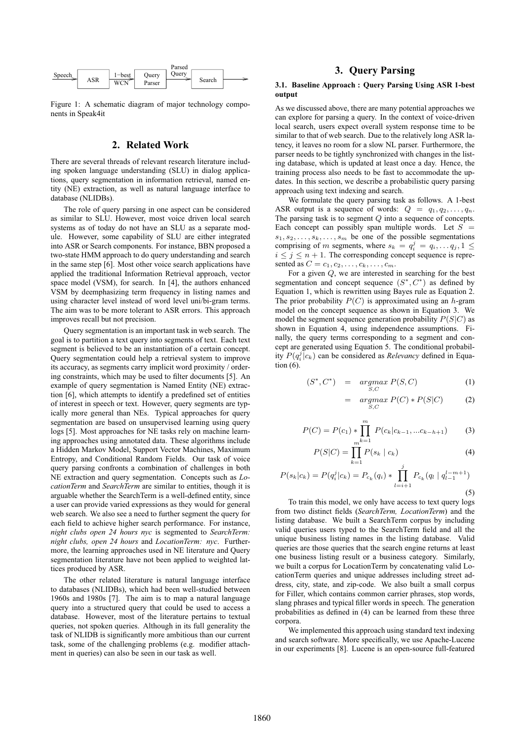

Figure 1: A schematic diagram of major technology components in Speak4it

## **2. Related Work**

There are several threads of relevant research literature including spoken language understanding (SLU) in dialog applications, query segmentation in information retrieval, named entity (NE) extraction, as well as natural language interface to database (NLIDBs).

The role of query parsing in one aspect can be considered as similar to SLU. However, most voice driven local search systems as of today do not have an SLU as a separate module. However, some capability of SLU are either integrated into ASR or Search components. For instance, BBN proposed a two-state HMM approach to do query understanding and search in the same step [6]. Most other voice search applications have applied the traditional Information Retrieval approach, vector space model (VSM), for search. In [4], the authors enhanced VSM by deemphasizing term frequency in listing names and using character level instead of word level uni/bi-gram terms. The aim was to be more tolerant to ASR errors. This approach improves recall but not precision.

Query segmentation is an important task in web search. The goal is to partition a text query into segments of text. Each text segment is believed to be an instantiation of a certain concept. Query segmentation could help a retrieval system to improve its accuracy, as segments carry implicit word proximity / ordering constraints, which may be used to filter documents [5]. An example of query segmentation is Named Entity (NE) extraction [6], which attempts to identify a predefined set of entities of interest in speech or text. However, query segments are typically more general than NEs. Typical approaches for query segmentation are based on unsupervised learning using query logs [5]. Most approaches for NE tasks rely on machine learning approaches using annotated data. These algorithms include a Hidden Markov Model, Support Vector Machines, Maximum Entropy, and Conditional Random Fields. Our task of voice query parsing confronts a combination of challenges in both NE extraction and query segmentation. Concepts such as *LocationTerm* and *SearchTerm* are similar to entities, though it is arguable whether the SearchTerm is a well-defined entity, since a user can provide varied expressions as they would for general web search. We also see a need to further segment the query for each field to achieve higher search performance. For instance, *night clubs open 24 hours nyc* is segmented to *SearchTerm: night clubs, open 24 hours* and *LocationTerm: nyc*. Furthermore, the learning approaches used in NE literature and Query segmentation literature have not been applied to weighted lattices produced by ASR.

The other related literature is natural language interface to databases (NLIDBs), which had been well-studied between 1960s and 1980s [7]. The aim is to map a natural language query into a structured query that could be used to access a database. However, most of the literature pertains to textual queries, not spoken queries. Although in its full generality the task of NLIDB is significantly more ambitious than our current task, some of the challenging problems (e.g. modifier attachment in queries) can also be seen in our task as well.

# **3. Query Parsing**

### **3.1. Baseline Approach : Query Parsing Using ASR 1-best output**

As we discussed above, there are many potential approaches we can explore for parsing a query. In the context of voice-driven local search, users expect overall system response time to be similar to that of web search. Due to the relatively long ASR latency, it leaves no room for a slow NL parser. Furthermore, the parser needs to be tightly synchronized with changes in the listing database, which is updated at least once a day. Hence, the training process also needs to be fast to accommodate the updates. In this section, we describe a probabilistic query parsing approach using text indexing and search.

We formulate the query parsing task as follows. A 1-best ASR output is a sequence of words:  $Q = q_1, q_2, \ldots, q_n$ . The parsing task is to segment  $Q$  into a sequence of concepts. Each concept can possibly span multiple words. Let  $S =$  $s_1, s_2, \ldots, s_k, \ldots, s_m$  be one of the possible segmentations comprising of m segments, where  $s_k = q_i^j = q_i, \dots, q_j, 1 \leq$  $i \leq j \leq n+1$ . The corresponding concept sequence is represented as  $C = c_1, c_2, \ldots, c_k, \ldots, c_m$ .

For a given Q, we are interested in searching for the best segmentation and concept sequence  $(S^*, C^*)$  as defined by Equation 1, which is rewritten using Bayes rule as Equation 2. The prior probability  $P(C)$  is approximated using an h-gram model on the concept sequence as shown in Equation 3. We model the segment sequence generation probability  $P(S|C)$  as shown in Equation 4, using independence assumptions. Finally, the query terms corresponding to a segment and concept are generated using Equation 5. The conditional probability  $P(q_i^j|c_k)$  can be considered as *Relevancy* defined in Equation (6).

$$
(S^*, C^*) = \underset{S, C}{\operatorname{argmax}} P(S, C) \tag{1}
$$

$$
= \underset{S,C}{\operatorname{argmax}} P(C) * P(S|C) \tag{2}
$$

$$
P(C) = P(c_1) * \prod_{m=1}^{m} P(c_k | c_{k-1}, ... c_{k-h+1})
$$
 (3)

$$
P(S|C) = \prod_{k=1}^{m^{N-1}} P(s_k | c_k)
$$
 (4)

$$
P(s_k|c_k) = P(q_i^j|c_k) = P_{c_k}(q_i) * \prod_{l=i+1}^j P_{c_k}(q_l | q_{l-1}^{l-m+1})
$$
\n(5)

To train this model, we only have access to text query logs from two distinct fields (*SearchTerm, LocationTerm*) and the listing database. We built a SearchTerm corpus by including valid queries users typed to the SearchTerm field and all the unique business listing names in the listing database. Valid queries are those queries that the search engine returns at least one business listing result or a business category. Similarly, we built a corpus for LocationTerm by concatenating valid LocationTerm queries and unique addresses including street address, city, state, and zip-code. We also built a small corpus for Filler, which contains common carrier phrases, stop words, slang phrases and typical filler words in speech. The generation probabilities as defined in (4) can be learned from these three corpora.

We implemented this approach using standard text indexing and search software. More specifically, we use Apache-Lucene in our experiments [8]. Lucene is an open-source full-featured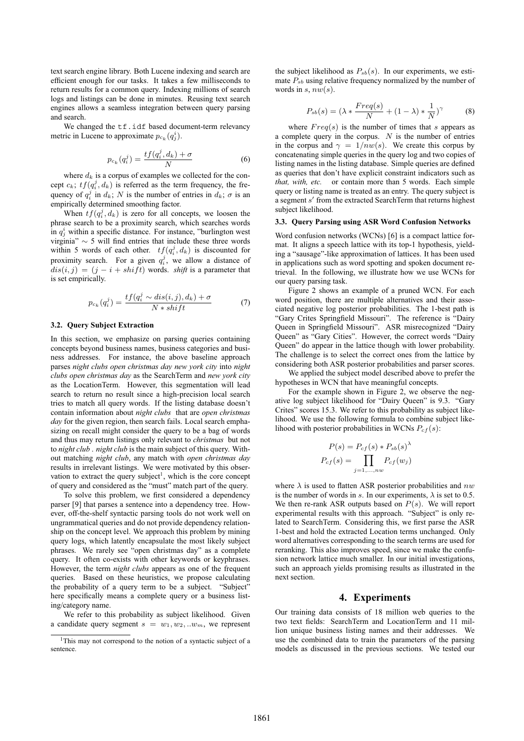text search engine library. Both Lucene indexing and search are efficient enough for our tasks. It takes a few milliseconds to return results for a common query. Indexing millions of search logs and listings can be done in minutes. Reusing text search engines allows a seamless integration between query parsing and search.

We changed the  $\texttt{tf.idf}$  based document-term relevancy metric in Lucene to approximate  $p_{c_k}(q_j)$ .

$$
p_{c_k}(q_i^j) = \frac{tf(q_i^j, d_k) + \sigma}{N} \tag{6}
$$

where  $d_k$  is a corpus of examples we collected for the concept  $c_k$ ;  $tf(q_i^j, d_k)$  is referred as the term frequency, the frequency of  $q_i^j$  in  $d_k$ ; N is the number of entries in  $d_k$ ;  $\sigma$  is an empirically determined smoothing factor.

When  $tf(q_i^j, d_k)$  is zero for all concepts, we loosen the phrase search to be a proximity search, which searches words in  $q_j^i$  within a specific distance. For instance, "burlington west virginia" ∼ 5 will find entries that include these three words within 5 words of each other.  $tf(q_i^j, d_k)$  is discounted for proximity search. For a given  $q_i^j$ , we allow a distance of  $dis(i, j) = (j - i + shift)$  words. *shift* is a parameter that is set empirically.

$$
p_{c_k}(q_i^j) = \frac{tf(q_i^j \sim dis(i,j), d_k) + \sigma}{N * shift}
$$
 (7)

#### **3.2. Query Subject Extraction**

In this section, we emphasize on parsing queries containing concepts beyond business names, business categories and business addresses. For instance, the above baseline approach parses *night clubs open christmas day new york city* into *night clubs open christmas day* as the SearchTerm and *new york city* as the LocationTerm. However, this segmentation will lead search to return no result since a high-precision local search tries to match all query words. If the listing database doesn't contain information about *night clubs* that are *open christmas day* for the given region, then search fails. Local search emphasizing on recall might consider the query to be a bag of words and thus may return listings only relevant to *christmas* but not to *night club* . *night club* is the main subject of this query. Without matching *night club*, any match with *open christmas day* results in irrelevant listings. We were motivated by this observation to extract the query subject<sup>1</sup>, which is the core concept of query and considered as the "must" match part of the query.

To solve this problem, we first considered a dependency parser [9] that parses a sentence into a dependency tree. However, off-the-shelf syntactic parsing tools do not work well on ungrammatical queries and do not provide dependency relationship on the concept level. We approach this problem by mining query logs, which latently encapsulate the most likely subject phrases. We rarely see "open christmas day" as a complete query. It often co-exists with other keywords or keyphrases. However, the term *night clubs* appears as one of the frequent queries. Based on these heuristics, we propose calculating the probability of a query term to be a subject. "Subject" here specifically means a complete query or a business listing/category name.

We refer to this probability as subject likelihood. Given a candidate query segment  $s = w_1, w_2, ... w_m$ , we represent

the subject likelihood as  $P_{sb}(s)$ . In our experiments, we estimate  $P_{sb}$  using relative frequency normalized by the number of words in  $s, nw(s)$ .

$$
P_{sb}(s) = (\lambda * \frac{Freq(s)}{N} + (1 - \lambda) * \frac{1}{N})^{\gamma}
$$
 (8)

where  $Freq(s)$  is the number of times that s appears as a complete query in the corpus.  $N$  is the number of entries in the corpus and  $\gamma = 1/nw(s)$ . We create this corpus by concatenating simple queries in the query log and two copies of listing names in the listing database. Simple queries are defined as queries that don't have explicit constraint indicators such as *that, with, etc.* or contain more than 5 words. Each simple query or listing name is treated as an entry. The query subject is a segment  $s'$  from the extracted SearchTerm that returns highest subject likelihood.

#### **3.3. Query Parsing using ASR Word Confusion Networks**

Word confusion networks (WCNs) [6] is a compact lattice format. It aligns a speech lattice with its top-1 hypothesis, yielding a "sausage"-like approximation of lattices. It has been used in applications such as word spotting and spoken document retrieval. In the following, we illustrate how we use WCNs for our query parsing task.

Figure 2 shows an example of a pruned WCN. For each word position, there are multiple alternatives and their associated negative log posterior probabilities. The 1-best path is "Gary Crites Springfield Missouri". The reference is "Dairy Queen in Springfield Missouri". ASR misrecognized "Dairy Queen" as "Gary Cities". However, the correct words "Dairy Queen" do appear in the lattice though with lower probability. The challenge is to select the correct ones from the lattice by considering both ASR posterior probabilities and parser scores.

We applied the subject model described above to prefer the hypotheses in WCN that have meaningful concepts.

For the example shown in Figure 2, we observe the negative log subject likelihood for "Dairy Queen" is 9.3. "Gary Crites" scores 15.3. We refer to this probability as subject likelihood. We use the following formula to combine subject likelihood with posterior probabilities in WCNs  $P_{cf}(s)$ :

$$
P(s) = P_{cf}(s) * P_{sb}(s)^{\lambda}
$$

$$
P_{cf}(s) = \prod_{j=1,...,nw} P_{cf}(w_j)
$$

where  $\lambda$  is used to flatten ASR posterior probabilities and  $nw$ is the number of words in s. In our experiments,  $\lambda$  is set to 0.5. We then re-rank ASR outputs based on  $P(s)$ . We will report experimental results with this approach. "Subject" is only related to SearchTerm. Considering this, we first parse the ASR 1-best and hold the extracted Location terms unchanged. Only word alternatives corresponding to the search terms are used for reranking. This also improves speed, since we make the confusion network lattice much smaller. In our initial investigations, such an approach yields promising results as illustrated in the next section.

### **4. Experiments**

Our training data consists of 18 million web queries to the two text fields: SearchTerm and LocationTerm and 11 million unique business listing names and their addresses. We use the combined data to train the parameters of the parsing models as discussed in the previous sections. We tested our

<sup>&</sup>lt;sup>1</sup>This may not correspond to the notion of a syntactic subject of a sentence.